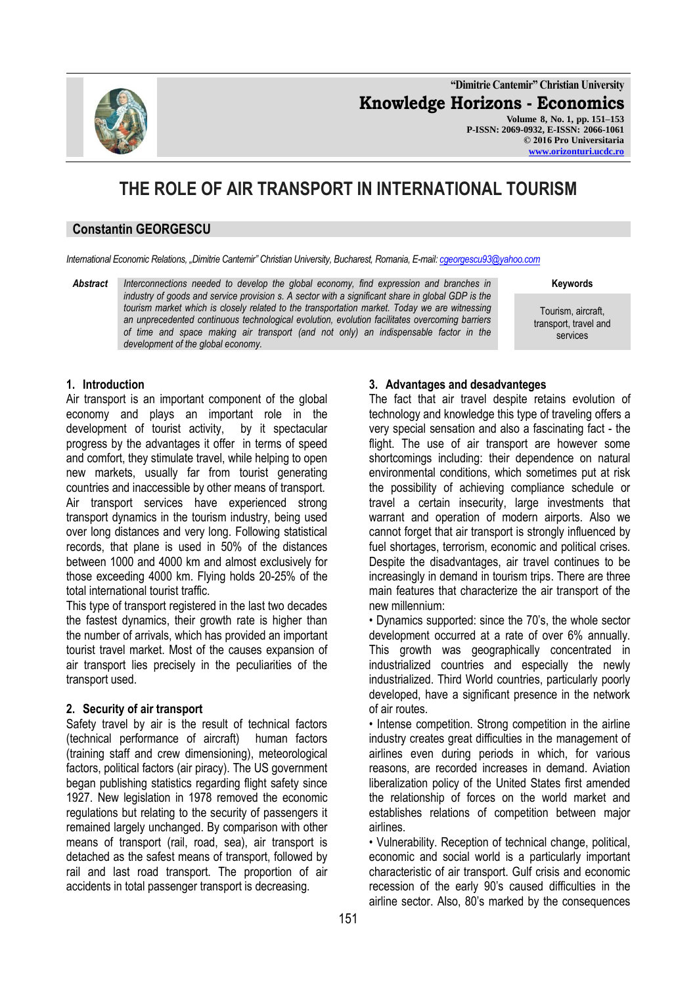**"Dimitrie Cantemir" Christian University Knowledge Horizons - Economics Volume 8, No. 1, pp. 151–153 P-ISSN: 2069-0932, E-ISSN: 2066-1061 © 2016 Pro Universitaria [www.orizonturi.ucdc.ro](http://www.orizonturi.ucdc.ro/)**

# **THE ROLE OF AIR TRANSPORT IN INTERNATIONAL TOURISM**

#### **Constantin GEORGESCU**

*International Economic Relations, "Dimitrie Cantemir" Christian University, Bucharest, Romania, E-mail[: cgeorgescu93@yahoo.com](mailto:cgeorgescu93@yahoo.com)*

*Abstract Interconnections needed to develop the global economy, find expression and branches in industry of goods and service provision s. A sector with a significant share in global GDP is the tourism market which is closely related to the transportation market. Today we are witnessing an unprecedented continuous technological evolution, evolution facilitates overcoming barriers of time and space making air transport (and not only) an indispensable factor in the development of the global economy.*

**Keywords**

Tourism, aircraft, transport, travel and services

#### **1. Introduction**

Air transport is an important component of the global economy and plays an important role in the development of tourist activity, by it spectacular progress by the advantages it offer in terms of speed and comfort, they stimulate travel, while helping to open new markets, usually far from tourist generating countries and inaccessible by other means of transport. Air transport services have experienced strong transport dynamics in the tourism industry, being used over long distances and very long. Following statistical records, that plane is used in 50% of the distances between 1000 and 4000 km and almost exclusively for those exceeding 4000 km. Flying holds 20-25% of the total international tourist traffic.

This type of transport registered in the last two decades the fastest dynamics, their growth rate is higher than the number of arrivals, which has provided an important tourist travel market. Most of the causes expansion of air transport lies precisely in the peculiarities of the transport used.

#### **2. Security of air transport**

Safety travel by air is the result of technical factors (technical performance of aircraft) human factors (training staff and crew dimensioning), meteorological factors, political factors (air piracy). The US government began publishing statistics regarding flight safety since 1927. New legislation in 1978 removed the economic regulations but relating to the security of passengers it remained largely unchanged. By comparison with other means of transport (rail, road, sea), air transport is detached as the safest means of transport, followed by rail and last road transport. The proportion of air accidents in total passenger transport is decreasing.

#### **3. Advantages and desadvanteges**

The fact that air travel despite retains evolution of technology and knowledge this type of traveling offers a very special sensation and also a fascinating fact - the flight. The use of air transport are however some shortcomings including: their dependence on natural environmental conditions, which sometimes put at risk the possibility of achieving compliance schedule or travel a certain insecurity, large investments that warrant and operation of modern airports. Also we cannot forget that air transport is strongly influenced by fuel shortages, terrorism, economic and political crises. Despite the disadvantages, air travel continues to be increasingly in demand in tourism trips. There are three main features that characterize the air transport of the new millennium:

• Dynamics supported: since the 70's, the whole sector development occurred at a rate of over 6% annually. This growth was geographically concentrated in industrialized countries and especially the newly industrialized. Third World countries, particularly poorly developed, have a significant presence in the network of air routes.

• Intense competition. Strong competition in the airline industry creates great difficulties in the management of airlines even during periods in which, for various reasons, are recorded increases in demand. Aviation liberalization policy of the United States first amended the relationship of forces on the world market and establishes relations of competition between major airlines.

• Vulnerability. Reception of technical change, political, economic and social world is a particularly important characteristic of air transport. Gulf crisis and economic recession of the early 90's caused difficulties in the airline sector. Also, 80's marked by the consequences

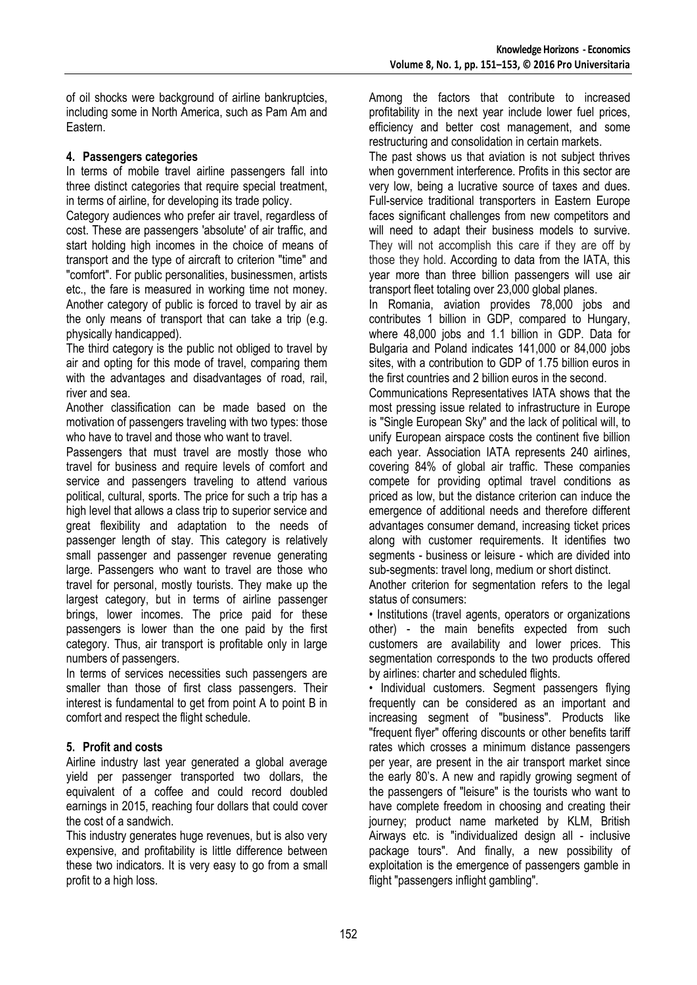of oil shocks were background of airline bankruptcies, including some in North America, such as Pam Am and Eastern.

### **4. Passengers categories**

In terms of mobile travel airline passengers fall into three distinct categories that require special treatment, in terms of airline, for developing its trade policy.

Category audiences who prefer air travel, regardless of cost. These are passengers 'absolute' of air traffic, and start holding high incomes in the choice of means of transport and the type of aircraft to criterion "time" and "comfort". For public personalities, businessmen, artists etc., the fare is measured in working time not money. Another category of public is forced to travel by air as the only means of transport that can take a trip (e.g. physically handicapped).

The third category is the public not obliged to travel by air and opting for this mode of travel, comparing them with the advantages and disadvantages of road, rail, river and sea.

Another classification can be made based on the motivation of passengers traveling with two types: those who have to travel and those who want to travel.

Passengers that must travel are mostly those who travel for business and require levels of comfort and service and passengers traveling to attend various political, cultural, sports. The price for such a trip has a high level that allows a class trip to superior service and great flexibility and adaptation to the needs of passenger length of stay. This category is relatively small passenger and passenger revenue generating large. Passengers who want to travel are those who travel for personal, mostly tourists. They make up the largest category, but in terms of airline passenger brings, lower incomes. The price paid for these passengers is lower than the one paid by the first category. Thus, air transport is profitable only in large numbers of passengers.

In terms of services necessities such passengers are smaller than those of first class passengers. Their interest is fundamental to get from point A to point B in comfort and respect the flight schedule.

### **5. Profit and costs**

Airline industry last year generated a global average yield per passenger transported two dollars, the equivalent of a coffee and could record doubled earnings in 2015, reaching four dollars that could cover the cost of a sandwich.

This industry generates huge revenues, but is also very expensive, and profitability is little difference between these two indicators. It is very easy to go from a small profit to a high loss.

Among the factors that contribute to increased profitability in the next year include lower fuel prices, efficiency and better cost management, and some restructuring and consolidation in certain markets.

The past shows us that aviation is not subject thrives when government interference. Profits in this sector are very low, being a lucrative source of taxes and dues. Full-service traditional transporters in Eastern Europe faces significant challenges from new competitors and will need to adapt their business models to survive. They will not accomplish this care if they are off by those they hold. According to data from the IATA, this year more than three billion passengers will use air transport fleet totaling over 23,000 global planes.

In Romania, aviation provides 78,000 jobs and contributes 1 billion in GDP, compared to Hungary, where 48,000 jobs and 1.1 billion in GDP. Data for Bulgaria and Poland indicates 141,000 or 84,000 jobs sites, with a contribution to GDP of 1.75 billion euros in the first countries and 2 billion euros in the second.

Communications Representatives IATA shows that the most pressing issue related to infrastructure in Europe is "Single European Sky" and the lack of political will, to unify European airspace costs the continent five billion each year. Association IATA represents 240 airlines, covering 84% of global air traffic. These companies compete for providing optimal travel conditions as priced as low, but the distance criterion can induce the emergence of additional needs and therefore different advantages consumer demand, increasing ticket prices along with customer requirements. It identifies two segments - business or leisure - which are divided into sub-segments: travel long, medium or short distinct.

Another criterion for segmentation refers to the legal status of consumers:

• Institutions (travel agents, operators or organizations other) - the main benefits expected from such customers are availability and lower prices. This segmentation corresponds to the two products offered by airlines: charter and scheduled flights.

• Individual customers. Segment passengers flying frequently can be considered as an important and increasing segment of "business". Products like "frequent flyer" offering discounts or other benefits tariff rates which crosses a minimum distance passengers per year, are present in the air transport market since the early 80's. A new and rapidly growing segment of the passengers of "leisure" is the tourists who want to have complete freedom in choosing and creating their journey; product name marketed by KLM, British Airways etc. is "individualized design all - inclusive package tours". And finally, a new possibility of exploitation is the emergence of passengers gamble in flight "passengers inflight gambling".